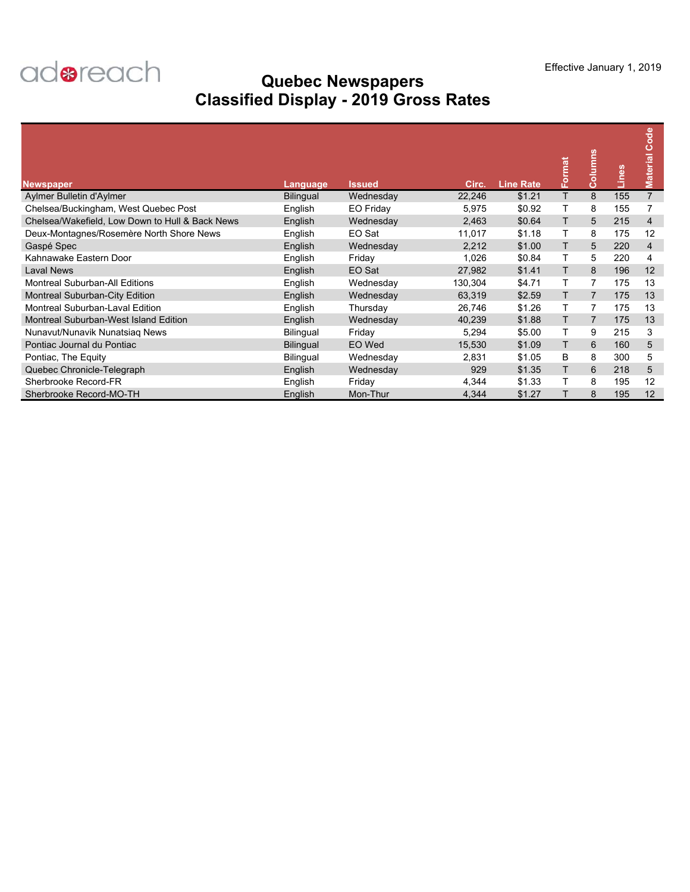$\ddot{\phantom{a}}$ 



## **Quebec Newspapers Classified Display - 2019 Gross Rates**

|                                                 |                  |               |         |                  |        |                | ႕ီ<br>ŏ<br>Õ |                 |
|-------------------------------------------------|------------------|---------------|---------|------------------|--------|----------------|--------------|-----------------|
| <b>Newspaper</b>                                | Language         | <b>Issued</b> | Circ.   | <b>Line Rate</b> | Format | <b>Columns</b> | Lines        | <b>Material</b> |
| Aylmer Bulletin d'Aylmer                        | <b>Bilingual</b> | Wednesday     | 22,246  | \$1.21           | T      | 8              | 155          | $\overline{7}$  |
| Chelsea/Buckingham, West Quebec Post            | English          | EO Friday     | 5,975   | \$0.92           |        | 8              | 155          |                 |
| Chelsea/Wakefield, Low Down to Hull & Back News | English          | Wednesday     | 2,463   | \$0.64           | т      | 5              | 215          | $\overline{4}$  |
| Deux-Montagnes/Rosemère North Shore News        | English          | EO Sat        | 11,017  | \$1.18           |        | 8              | 175          | 12              |
| Gaspé Spec                                      | English          | Wednesday     | 2,212   | \$1.00           | т      | 5              | 220          | 4               |
| Kahnawake Eastern Door                          | English          | Friday        | 1,026   | \$0.84           | T      | 5              | 220          | 4               |
| <b>Laval News</b>                               | English          | EO Sat        | 27,982  | \$1.41           | т      | 8              | 196          | 12              |
| <b>Montreal Suburban-All Editions</b>           | English          | Wednesday     | 130,304 | \$4.71           | T      | 7              | 175          | 13              |
| Montreal Suburban-City Edition                  | English          | Wednesday     | 63,319  | \$2.59           | т      | $\overline{7}$ | 175          | 13              |
| Montreal Suburban-Laval Edition                 | English          | Thursday      | 26,746  | \$1.26           |        |                | 175          | 13              |
| Montreal Suburban-West Island Edition           | English          | Wednesday     | 40,239  | \$1.88           | T      | $\overline{7}$ | 175          | 13              |
| Nunavut/Nunavik Nunatsiag News                  | <b>Bilingual</b> | Friday        | 5,294   | \$5.00           |        | 9              | 215          | 3               |
| Pontiac Journal du Pontiac                      | <b>Bilingual</b> | EO Wed        | 15,530  | \$1.09           | т      | 6              | 160          | 5               |
| Pontiac, The Equity                             | Bilingual        | Wednesday     | 2,831   | \$1.05           | В      | 8              | 300          | 5               |
| Quebec Chronicle-Telegraph                      | English          | Wednesday     | 929     | \$1.35           | т      | 6              | 218          | 5               |
| Sherbrooke Record-FR                            | English          | Friday        | 4,344   | \$1.33           |        | 8              | 195          | 12              |
| Sherbrooke Record-MO-TH                         | English          | Mon-Thur      | 4,344   | \$1.27           |        | 8              | 195          | 12              |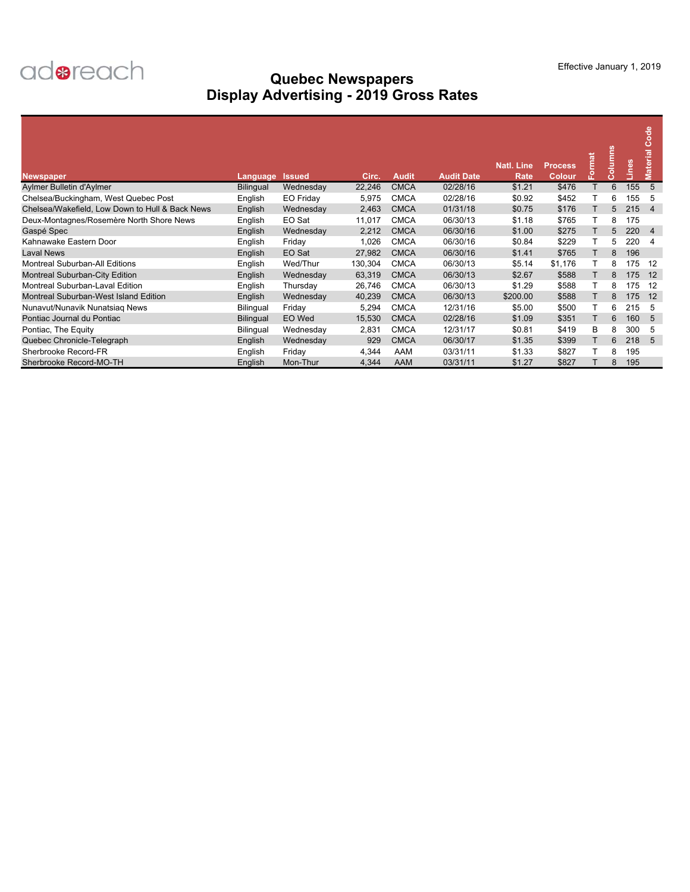

## **Display Advertising - 2019 Gross Rates Quebec Newspapers**

|                                                 |                  |               |         |              |                   | <b>Natl. Line</b> | <b>Process</b> | <b>Tar</b> | lumns |       | ᄒ<br>$\epsilon$<br>'ನ |
|-------------------------------------------------|------------------|---------------|---------|--------------|-------------------|-------------------|----------------|------------|-------|-------|-----------------------|
| <b>Newspaper</b>                                | Language         | <b>Issued</b> | Circ.   | <b>Audit</b> | <b>Audit Date</b> | Rate              | <b>Colour</b>  |            | ႙     | Lines | <b>Materia</b>        |
| Aylmer Bulletin d'Aylmer                        | <b>Bilingual</b> | Wednesday     | 22,246  | <b>CMCA</b>  | 02/28/16          | \$1.21            | \$476          |            | 6     | 155   | - 5                   |
| Chelsea/Buckingham, West Quebec Post            | English          | EO Friday     | 5,975   | <b>CMCA</b>  | 02/28/16          | \$0.92            | \$452          |            | 6     | 155   | -5                    |
| Chelsea/Wakefield, Low Down to Hull & Back News | English          | Wednesday     | 2,463   | <b>CMCA</b>  | 01/31/18          | \$0.75            | \$176          |            | 5     | 215   | 4                     |
| Deux-Montagnes/Rosemère North Shore News        | English          | EO Sat        | 11.017  | <b>CMCA</b>  | 06/30/13          | \$1.18            | \$765          |            | 8     | 175   |                       |
| Gaspé Spec                                      | English          | Wednesday     | 2,212   | <b>CMCA</b>  | 06/30/16          | \$1.00            | \$275          | т          | 5     | 220   | $\overline{4}$        |
| Kahnawake Eastern Door                          | English          | Friday        | 1,026   | <b>CMCA</b>  | 06/30/16          | \$0.84            | \$229          |            | 5     | 220   | 4                     |
| <b>Laval News</b>                               | English          | EO Sat        | 27,982  | <b>CMCA</b>  | 06/30/16          | \$1.41            | \$765          |            | 8     | 196   |                       |
| <b>Montreal Suburban-All Editions</b>           | English          | Wed/Thur      | 130,304 | <b>CMCA</b>  | 06/30/13          | \$5.14            | \$1,176        |            | 8     | 175   | -12                   |
| Montreal Suburban-City Edition                  | English          | Wednesday     | 63,319  | <b>CMCA</b>  | 06/30/13          | \$2.67            | \$588          |            | 8     | 175   | 12                    |
| Montreal Suburban-Laval Edition                 | English          | Thursday      | 26.746  | <b>CMCA</b>  | 06/30/13          | \$1.29            | \$588          |            | 8     | 175   | 12                    |
| Montreal Suburban-West Island Edition           | English          | Wednesday     | 40,239  | <b>CMCA</b>  | 06/30/13          | \$200.00          | \$588          |            | 8     | 175   | 12                    |
| Nunavut/Nunavik Nunatsiag News                  | <b>Bilingual</b> | Friday        | 5,294   | <b>CMCA</b>  | 12/31/16          | \$5.00            | \$500          |            | 6     | 215   | - 5                   |
| Pontiac Journal du Pontiac                      | <b>Bilingual</b> | EO Wed        | 15,530  | <b>CMCA</b>  | 02/28/16          | \$1.09            | \$351          |            | 6     | 160   | $-5$                  |
| Pontiac, The Equity                             | <b>Bilingual</b> | Wednesday     | 2,831   | <b>CMCA</b>  | 12/31/17          | \$0.81            | \$419          | в          | 8     | 300   | -5                    |
| Quebec Chronicle-Telegraph                      | English          | Wednesday     | 929     | <b>CMCA</b>  | 06/30/17          | \$1.35            | \$399          |            | 6     | 218   | - 5                   |
| Sherbrooke Record-FR                            | English          | Friday        | 4,344   | AAM          | 03/31/11          | \$1.33            | \$827          |            | 8     | 195   |                       |
| Sherbrooke Record-MO-TH                         | English          | Mon-Thur      | 4,344   | AAM          | 03/31/11          | \$1.27            | \$827          |            | 8     | 195   |                       |